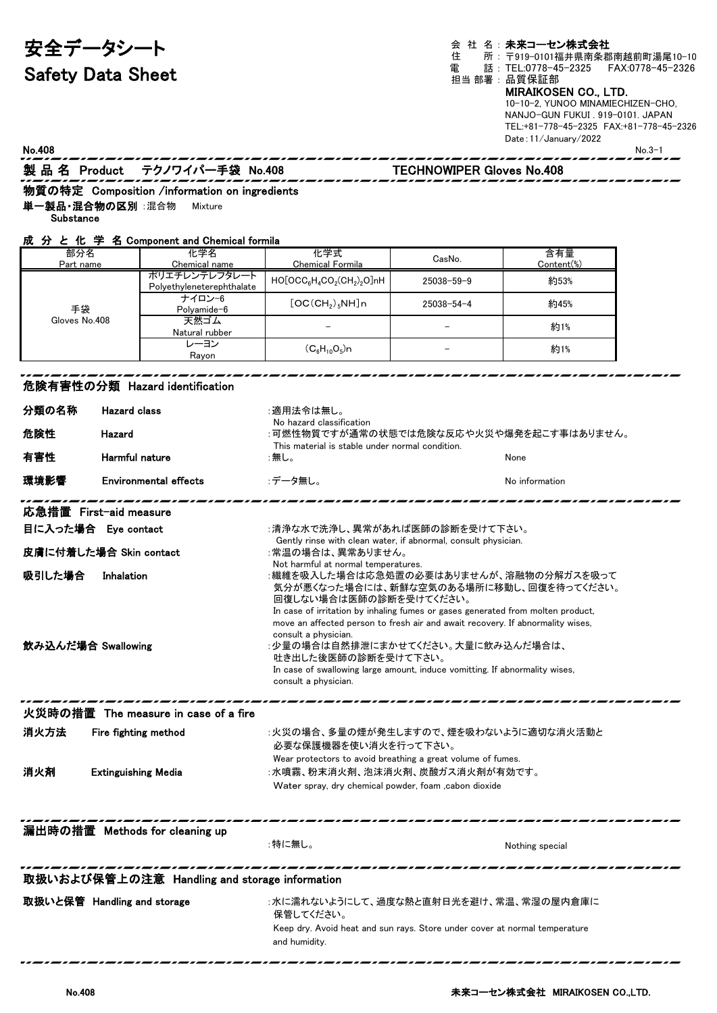## 安全データシート Safety Data Sheet

会 社 名:**未来コーセン株式会社**<br>住 所:〒919-0101福井県南条郡 住 所: 〒919−0101福井県南条郡南越前町湯尾10−10 電 話 : TEL:0778-45-2325 FAX:0778-45-2326 担当 部署 : 品質保証部 MIRAIKOSEN CO., LTD. 10-10-2, YUNOO MINAMIECHIZEN-CHO, NANJO-GUN FUKUI . 919-0101. JAPAN

TEL:+81-778-45-2325 FAX:+81-778-45-2326 Date:11/January/2022

| No.408                                                                                                                |                            |                                                                                                                                                                                                                                                                                                                                                                                                                                                                                                                                                                                                                                           |                                                                                                                                                         |                                  | ILL.'01 //0 40 ZJZJ IAA.'01 //0 40 Z<br>Date: 11/January/2022 | $No.3-1$ |
|-----------------------------------------------------------------------------------------------------------------------|----------------------------|-------------------------------------------------------------------------------------------------------------------------------------------------------------------------------------------------------------------------------------------------------------------------------------------------------------------------------------------------------------------------------------------------------------------------------------------------------------------------------------------------------------------------------------------------------------------------------------------------------------------------------------------|---------------------------------------------------------------------------------------------------------------------------------------------------------|----------------------------------|---------------------------------------------------------------|----------|
|                                                                                                                       |                            | 製品名 Product テクノワイパー手袋 No.408                                                                                                                                                                                                                                                                                                                                                                                                                                                                                                                                                                                                              | ,,,,,,,,,,,,,,,,,                                                                                                                                       | <b>TECHNOWIPER Gloves No.408</b> |                                                               |          |
|                                                                                                                       |                            | 物質の特定 Composition /information on ingredients                                                                                                                                                                                                                                                                                                                                                                                                                                                                                                                                                                                             |                                                                                                                                                         |                                  |                                                               |          |
| 単一製品・混合物の区別 :混合物                                                                                                      |                            | Mixture                                                                                                                                                                                                                                                                                                                                                                                                                                                                                                                                                                                                                                   |                                                                                                                                                         |                                  |                                                               |          |
| Substance                                                                                                             |                            |                                                                                                                                                                                                                                                                                                                                                                                                                                                                                                                                                                                                                                           |                                                                                                                                                         |                                  |                                                               |          |
|                                                                                                                       |                            | 成 分 と 化 学 名 Component and Chemical formila                                                                                                                                                                                                                                                                                                                                                                                                                                                                                                                                                                                                |                                                                                                                                                         |                                  |                                                               |          |
| 部分名<br>Part name                                                                                                      |                            | 化学名<br>Chemical name                                                                                                                                                                                                                                                                                                                                                                                                                                                                                                                                                                                                                      | 化学式<br><b>Chemical Formila</b>                                                                                                                          | CasNo.                           | 含有量<br>Content(%)                                             |          |
|                                                                                                                       |                            | ポリエチレンテレフタレート<br>Polyethyleneterephthalate                                                                                                                                                                                                                                                                                                                                                                                                                                                                                                                                                                                                | $HO[OCC_6H_4CO_2(CH_2)_2O]nH$                                                                                                                           | 25038–59–9                       | 約53%                                                          |          |
| 手袋<br>Gloves No.408                                                                                                   |                            | ナイロン-6<br>Polyamide-6                                                                                                                                                                                                                                                                                                                                                                                                                                                                                                                                                                                                                     | [OC(CH <sub>2</sub> ) <sub>5</sub> NH]n                                                                                                                 | $25038 - 54 - 4$                 | 約45%                                                          |          |
|                                                                                                                       |                            | 天然ゴム                                                                                                                                                                                                                                                                                                                                                                                                                                                                                                                                                                                                                                      |                                                                                                                                                         |                                  | 約1%                                                           |          |
|                                                                                                                       |                            | Natural rubber<br>レーヨン                                                                                                                                                                                                                                                                                                                                                                                                                                                                                                                                                                                                                    | $(C_6H_{10}O_5)n$                                                                                                                                       |                                  |                                                               |          |
|                                                                                                                       |                            | Rayon                                                                                                                                                                                                                                                                                                                                                                                                                                                                                                                                                                                                                                     |                                                                                                                                                         |                                  | 約1%                                                           |          |
|                                                                                                                       |                            | 危険有害性の分類 Hazard identification                                                                                                                                                                                                                                                                                                                                                                                                                                                                                                                                                                                                            |                                                                                                                                                         |                                  |                                                               |          |
| 分類の名称                                                                                                                 | <b>Hazard class</b>        |                                                                                                                                                                                                                                                                                                                                                                                                                                                                                                                                                                                                                                           | :適用法令は無し。                                                                                                                                               |                                  |                                                               |          |
| 危険性                                                                                                                   | Hazard                     | No hazard classification<br>:可燃性物質ですが通常の状態では危険な反応や火災や爆発を起こす事はありません。                                                                                                                                                                                                                                                                                                                                                                                                                                                                                                                                                                       |                                                                                                                                                         |                                  |                                                               |          |
| 有害性                                                                                                                   |                            |                                                                                                                                                                                                                                                                                                                                                                                                                                                                                                                                                                                                                                           | This material is stable under normal condition.<br>:無し。<br>None                                                                                         |                                  |                                                               |          |
| Harmful nature                                                                                                        |                            |                                                                                                                                                                                                                                                                                                                                                                                                                                                                                                                                                                                                                                           |                                                                                                                                                         |                                  |                                                               |          |
| 環境影響                                                                                                                  |                            | <b>Environmental effects</b>                                                                                                                                                                                                                                                                                                                                                                                                                                                                                                                                                                                                              | :データ無し。<br>No information                                                                                                                               |                                  |                                                               |          |
| 応急措置 First-aid measure<br>目に入った場合 Eye contact<br>皮膚に付着した場合 Skin contact<br>吸引した場合<br>Inhalation<br>飲み込んだ場合 Swallowing |                            | :清浄な水で洗浄し、異常があれば医師の診断を受けて下さい。<br>Gently rinse with clean water, if abnormal, consult physician.<br>:常温の場合は、異常ありません。<br>Not harmful at normal temperatures.<br>:繊維を吸入した場合は応急処置の必要はありませんが、溶融物の分解ガスを吸って<br>気分が悪くなった場合には、新鮮な空気のある場所に移動し、回復を待ってください。<br>回復しない場合は医師の診断を受けてください。<br>In case of irritation by inhaling fumes or gases generated from molten product,<br>move an affected person to fresh air and await recovery. If abnormality wises,<br>consult a physician.<br>:少量の場合は自然排泄にまかせてください。大量に飲み込んだ場合は、<br>吐き出した後医師の診断を受けて下さい。<br>In case of swallowing large amount, induce vomitting. If abnormality wises,<br>consult a physician. |                                                                                                                                                         |                                  |                                                               |          |
|                                                                                                                       |                            | 火災時の措置 The measure in case of a fire                                                                                                                                                                                                                                                                                                                                                                                                                                                                                                                                                                                                      |                                                                                                                                                         |                                  |                                                               |          |
| 消火方法                                                                                                                  | Fire fighting method       |                                                                                                                                                                                                                                                                                                                                                                                                                                                                                                                                                                                                                                           | :火災の場合、多量の煙が発生しますので、煙を吸わないように適切な消火活動と<br>必要な保護機器を使い消火を行って下さい。                                                                                           |                                  |                                                               |          |
| 消火剤                                                                                                                   | <b>Extinguishing Media</b> |                                                                                                                                                                                                                                                                                                                                                                                                                                                                                                                                                                                                                                           | Wear protectors to avoid breathing a great volume of fumes.<br>:水噴霧、粉末消火剤、泡沫消火剤、炭酸ガス消火剤が有効です。<br>Water spray, dry chemical powder, foam , cabon dioxide |                                  |                                                               |          |
|                                                                                                                       |                            | 漏出時の措置 Methods for cleaning up                                                                                                                                                                                                                                                                                                                                                                                                                                                                                                                                                                                                            |                                                                                                                                                         |                                  |                                                               |          |
|                                                                                                                       |                            |                                                                                                                                                                                                                                                                                                                                                                                                                                                                                                                                                                                                                                           | :特に無し。                                                                                                                                                  |                                  | Nothing special                                               |          |
|                                                                                                                       |                            | 取扱いおよび保管上の注意 Handling and storage information                                                                                                                                                                                                                                                                                                                                                                                                                                                                                                                                                                                             |                                                                                                                                                         |                                  |                                                               |          |
| 取扱いと保管 Handling and storage                                                                                           |                            |                                                                                                                                                                                                                                                                                                                                                                                                                                                                                                                                                                                                                                           | :水に濡れないようにして、過度な熱と直射日光を避け、常温、常湿の屋内倉庫に<br>保管してください。                                                                                                      |                                  |                                                               |          |

Keep dry. Avoid heat and sun rays. Store under cover at normal temperature

and humidity.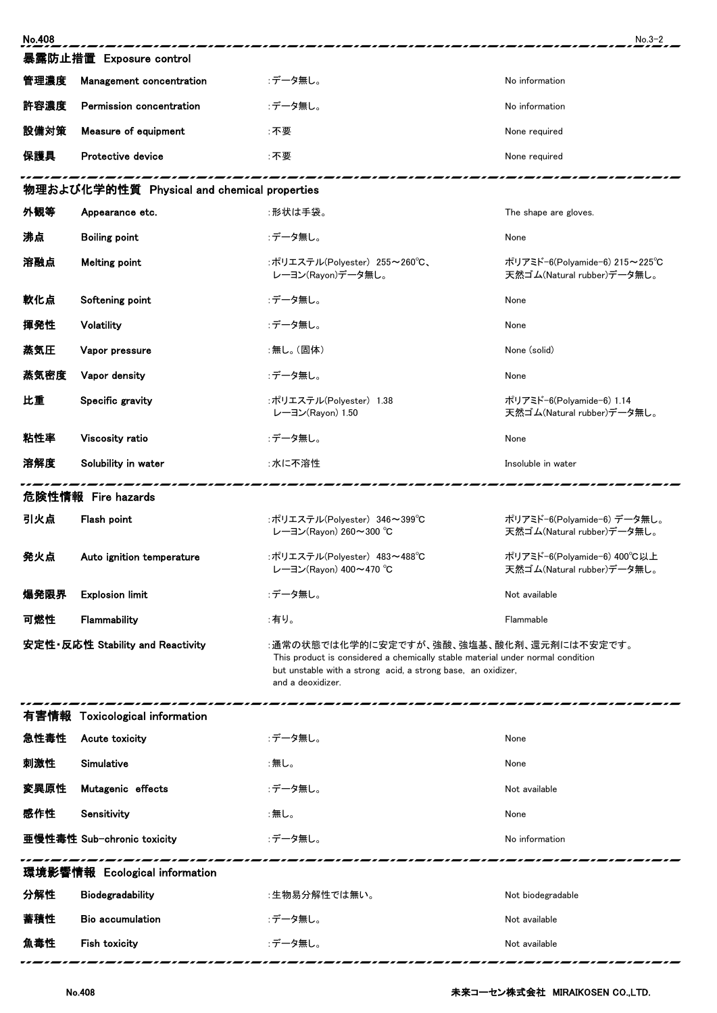| <b>No.408</b>                               |                                |                                                                                                                                                                                                                 | $No.3-2$                                                    |  |  |  |  |
|---------------------------------------------|--------------------------------|-----------------------------------------------------------------------------------------------------------------------------------------------------------------------------------------------------------------|-------------------------------------------------------------|--|--|--|--|
| 暴露防止措置 Exposure control                     |                                |                                                                                                                                                                                                                 |                                                             |  |  |  |  |
| 管理濃度                                        | Management concentration       | :データ無し。                                                                                                                                                                                                         | No information                                              |  |  |  |  |
| 許容濃度                                        | Permission concentration       | :データ無し。                                                                                                                                                                                                         | No information                                              |  |  |  |  |
| 設備対策                                        | Measure of equipment           | :不要                                                                                                                                                                                                             | None required                                               |  |  |  |  |
| 保護具                                         | Protective device              | :不要                                                                                                                                                                                                             | None required                                               |  |  |  |  |
| 物理および化学的性質 Physical and chemical properties |                                |                                                                                                                                                                                                                 |                                                             |  |  |  |  |
| 外観等                                         | Appearance etc.                | :形状は手袋。                                                                                                                                                                                                         | The shape are gloves.                                       |  |  |  |  |
| 沸点                                          | <b>Boiling point</b>           | :データ無し。                                                                                                                                                                                                         | None                                                        |  |  |  |  |
| 溶融点                                         | <b>Melting point</b>           | :ポリエステル(Polyester) 255~260℃、<br>レーヨン(Rayon)データ無し。                                                                                                                                                               | ポリアミド-6(Polyamide-6) 215~225℃<br>天然ゴム(Natural rubber)データ無し。 |  |  |  |  |
| 軟化点                                         | Softening point                | :データ無し。                                                                                                                                                                                                         | None                                                        |  |  |  |  |
| 揮発性                                         | Volatility                     | :データ無し。                                                                                                                                                                                                         | None                                                        |  |  |  |  |
| 蒸気圧                                         | Vapor pressure                 | :無し。(固体)                                                                                                                                                                                                        | None (solid)                                                |  |  |  |  |
| 蒸気密度                                        | Vapor density                  | :データ無し。                                                                                                                                                                                                         | None                                                        |  |  |  |  |
| 比重                                          | Specific gravity               | :ポリエステル(Polyester) 1.38<br>レーヨン(Rayon) 1.50                                                                                                                                                                     | ポリアミド-6(Polyamide-6) 1.14<br>天然ゴム(Natural rubber)データ無し。     |  |  |  |  |
| 粘性率                                         | Viscosity ratio                | :データ無し。                                                                                                                                                                                                         | None                                                        |  |  |  |  |
| 溶解度                                         | Solubility in water            | :水に不溶性                                                                                                                                                                                                          | Insoluble in water                                          |  |  |  |  |
| 危険性情報 Fire hazards                          |                                |                                                                                                                                                                                                                 |                                                             |  |  |  |  |
| 引火点                                         | Flash point                    | :ポリエステル(Polyester) 346~399℃<br>レーヨン(Rayon) 260~300 °C                                                                                                                                                           | ポリアミド-6(Polyamide-6) データ無し。<br>天然ゴム(Natural rubber)データ無し。   |  |  |  |  |
| 発火点                                         | Auto ignition temperature      | :ポリエステル(Polyester) 483~488°C<br>レーヨン(Rayon) 400~470 ℃                                                                                                                                                           | ポリアミド-6(Polyamide-6) 400°C以上<br>天然ゴム(Natural rubber)データ無し。  |  |  |  |  |
| 爆発限界                                        | <b>Explosion limit</b>         | :データ無し。                                                                                                                                                                                                         | Not available                                               |  |  |  |  |
| 可燃性                                         | Flammability                   | :有り。                                                                                                                                                                                                            | Flammable                                                   |  |  |  |  |
| 安定性·反応性 Stability and Reactivity            |                                | :通常の状態では化学的に安定ですが、強酸、強塩基、酸化剤、還元剤には不安定です。<br>This product is considered a chemically stable material under normal condition<br>but unstable with a strong acid, a strong base, an oxidizer,<br>and a deoxidizer. |                                                             |  |  |  |  |
|                                             | 有害情報 Toxicological information |                                                                                                                                                                                                                 |                                                             |  |  |  |  |
| 急性毒性                                        | Acute toxicity                 | :データ無し。                                                                                                                                                                                                         | None                                                        |  |  |  |  |
| 刺激性                                         | Simulative                     | :無し。                                                                                                                                                                                                            | None                                                        |  |  |  |  |
| 変異原性                                        | Mutagenic effects              | :データ無し。                                                                                                                                                                                                         | Not available                                               |  |  |  |  |
| 感作性                                         | Sensitivity                    | :無し。                                                                                                                                                                                                            | None                                                        |  |  |  |  |
|                                             | 亜慢性毒性 Sub-chronic toxicity     | :データ無し。                                                                                                                                                                                                         | No information                                              |  |  |  |  |
| 環境影響情報 Ecological information               |                                |                                                                                                                                                                                                                 |                                                             |  |  |  |  |
| 分解性                                         | <b>Biodegradability</b>        | :生物易分解性では無い。                                                                                                                                                                                                    | Not biodegradable                                           |  |  |  |  |
| 蓄積性                                         | Bio accumulation               | :データ無し。                                                                                                                                                                                                         | Not available                                               |  |  |  |  |
| 魚毒性                                         | Fish toxicity                  | :データ無し。                                                                                                                                                                                                         | Not available                                               |  |  |  |  |
|                                             |                                |                                                                                                                                                                                                                 |                                                             |  |  |  |  |